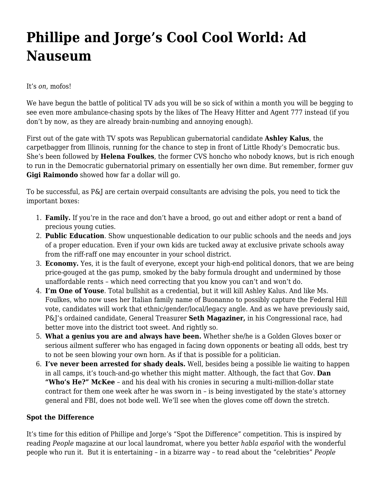## **[Phillipe and Jorge's Cool Cool World: Ad](https://motifri.com/ad-nauseum/) [Nauseum](https://motifri.com/ad-nauseum/)**

It's *on*, mofos!

We have begun the battle of political TV ads you will be so sick of within a month you will be begging to see even more ambulance-chasing spots by the likes of The Heavy Hitter and Agent 777 instead (if you don't by now, as they are already brain-numbing and annoying enough).

First out of the gate with TV spots was Republican gubernatorial candidate **Ashley Kalus**, the carpetbagger from Illinois, running for the chance to step in front of Little Rhody's Democratic bus. She's been followed by **Helena Foulkes**, the former CVS honcho who nobody knows, but is rich enough to run in the Democratic gubernatorial primary on essentially her own dime. But remember, former guv **Gigi Raimondo** showed how far a dollar will go.

To be successful, as P&J are certain overpaid consultants are advising the pols, you need to tick the important boxes:

- 1. **Family.** If you're in the race and don't have a brood, go out and either adopt or rent a band of precious young cuties.
- 2. **Public Education**. Show unquestionable dedication to our public schools and the needs and joys of a proper education. Even if your own kids are tucked away at exclusive private schools away from the riff-raff one may encounter in your school district.
- 3. **Economy.** Yes, it is the fault of everyone, except your high-end political donors, that we are being price-gouged at the gas pump, smoked by the baby formula drought and undermined by those unaffordable rents – which need correcting that you know you can't and won't do.
- 4. **I'm One of Youse**. Total bullshit as a credential, but it will kill Ashley Kalus. And like Ms. Foulkes, who now uses her Italian family name of Buonanno to possibly capture the Federal Hill vote, candidates will work that ethnic/gender/local/legacy angle. And as we have previously said, P&J's ordained candidate, General Treasurer **Seth Magaziner,** in his Congressional race, had better move into the district toot sweet. And rightly so.
- 5. **What a genius you are and always have been.** Whether she/he is a Golden Gloves boxer or serious ailment sufferer who has engaged in facing down opponents or beating all odds, best try to not be seen blowing your own horn. As if that is possible for a politician.
- 6. **I've never been arrested for shady deals.** Well, besides being a possible lie waiting to happen in all camps, it's touch-and-go whether this might matter. Although, the fact that Gov. **Dan "Who's He?" McKee** – and his deal with his cronies in securing a multi-million-dollar state contract for them one week after he was sworn in – is being investigated by the state's attorney general and FBI, does not bode well. We'll see when the gloves come off down the stretch.

## **Spot the Difference**

It's time for this edition of Phillipe and Jorge's "Spot the Difference" competition. This is inspired by reading *People* magazine at our local laundromat, where you better *habla español* with the wonderful people who run it. But it is entertaining – in a bizarre way – to read about the "celebrities" *People*